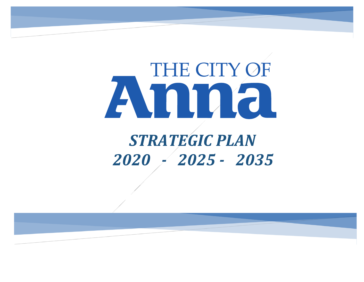# THE CITY OF Avnna *STRATEGIC PLAN 2020 - 2025 - 2035*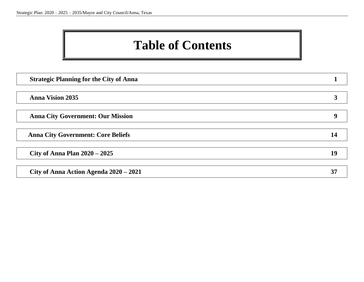### **Table of Contents**

| <b>Strategic Planning for the City of Anna</b> |    |
|------------------------------------------------|----|
|                                                |    |
| <b>Anna Vision 2035</b>                        |    |
|                                                |    |
| <b>Anna City Government: Our Mission</b>       |    |
|                                                |    |
| <b>Anna City Government: Core Beliefs</b>      |    |
|                                                |    |
| City of Anna Plan $2020 - 2025$                | 19 |
|                                                |    |
| City of Anna Action Agenda 2020 - 2021         | 37 |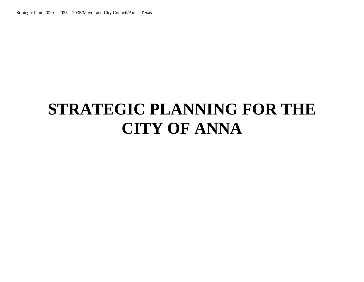# **STRATEGIC PLANNING FOR THE CITY OF ANNA**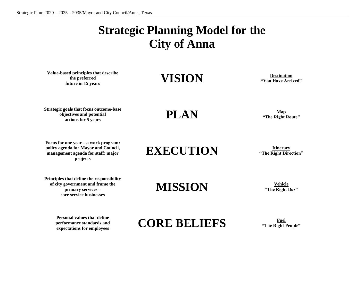### **Strategic Planning Model for the City of Anna**

**Value-based principles that describe the preferred** Future in 15 years<br> **Future in 15 years**<br> **Future in 15 years** 

**"You Have Arrived"**

**Strategic goals that focus outcome-base objectives and potential**  yectives and potential actions for 5 years<br>
actions for 5 years<br> **PLAN Map**<br> **Map**<br> **Map**<br> **Map**<br> **Map**<br> **Map**<br> **Map**<br> **Map**<br> **Map**<br> **Map**<br> **Map**<br> **Map**<br> **Map**<br> **Map**<br> **Map**<br> **Map**<br> **Map**<br> **Map**<br> **Map**<br> **Map**<br> **Mapple 1** 

**"The Right Route"**

**Focus for one year – a work program: policy agenda for Mayor and Council, management agenda for staff; major projects**

**EXECUTION Itinerary Integral CON Integral CON Integral CON** 

**"The Right Direction"**

**Principles that define the responsibility of city government and frame the primary services – core service businesses**

> **Personal values that define performance standards and**

### **MISSION Vehicle**

**"The Right Bus"**

**EXPREMELIEFS**<br>
expectations for employees **CORE BELIEFS FIGURE TO FIGURE THE RIGHT AND FIGURE TO FIGURE TO FIGURE TO FIGURE TO FIGURE TO FIGURE TO FIGURE TO FIGURE TO FIGURE TO FIGURE TO FIGURE TO FIGURE TO FIGURE TO FI** 

**"The Right People"**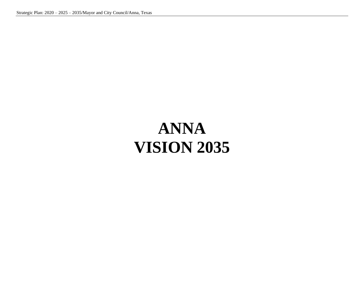# **ANNA VISION 2035**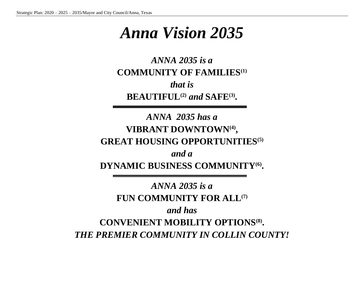### *Anna Vision 2035*

*ANNA 2035 is a* **COMMUNITY OF FAMILIES(1)** *that is* **BEAUTIFUL(2)** *and* **SAFE(3) .**

*ANNA 2035 has a* **VIBRANT DOWNTOWN(4) , GREAT HOUSING OPPORTUNITIES(5)**

*and a* **DYNAMIC BUSINESS COMMUNITY(6) .**

*ANNA 2035 is a* **FUN COMMUNITY FOR ALL(7)** *and has* **CONVENIENT MOBILITY OPTIONS(8) .** *THE PREMIER COMMUNITY IN COLLIN COUNTY!*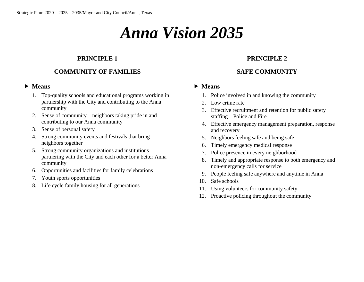### *Anna Vision 2035*

#### **PRINCIPLE 1**

#### **COMMUNITY OF FAMILIES**

#### **Means**

- 1. Top-quality schools and educational programs working in partnership with the City and contributing to the Anna community
- 2. Sense of community neighbors taking pride in and contributing to our Anna community
- 3. Sense of personal safety
- 4. Strong community events and festivals that bring neighbors together
- 5. Strong community organizations and institutions partnering with the City and each other for a better Anna community
- 6. Opportunities and facilities for family celebrations
- 7. Youth sports opportunities
- 8. Life cycle family housing for all generations

#### **PRINCIPLE 2**

#### **SAFE COMMUNITY**

- 1. Police involved in and knowing the community
- 2. Low crime rate
- 3. Effective recruitment and retention for public safety staffing – Police and Fire
- 4. Effective emergency management preparation, response and recovery
- 5. Neighbors feeling safe and being safe
- 6. Timely emergency medical response
- 7. Police presence in every neighborhood
- 8. Timely and appropriate response to both emergency and non-emergency calls for service
- 9. People feeling safe anywhere and anytime in Anna
- 10. Safe schools
- 11. Using volunteers for community safety
- 12. Proactive policing throughout the community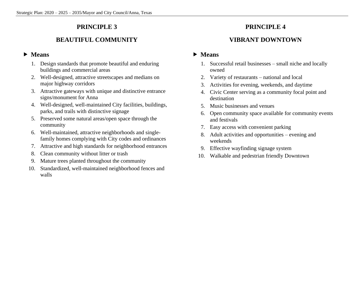#### **BEAUTIFUL COMMUNITY**

#### **Means**

- 1. Design standards that promote beautiful and enduring buildings and commercial areas
- 2. Well-designed, attractive streetscapes and medians on major highway corridors
- 3. Attractive gateways with unique and distinctive entrance signs/monument for Anna
- 4. Well-designed, well-maintained City facilities, buildings, parks, and trails with distinctive signage
- 5. Preserved some natural areas/open space through the community
- 6. Well-maintained, attractive neighborhoods and singlefamily homes complying with City codes and ordinances
- 7. Attractive and high standards for neighborhood entrances
- 8. Clean community without litter or trash
- 9. Mature trees planted throughout the community
- 10. Standardized, well-maintained neighborhood fences and walls

#### **PRINCIPLE 4**

#### **VIBRANT DOWNTOWN**

- 1. Successful retail businesses small niche and locally owned
- 2. Variety of restaurants national and local
- 3. Activities for evening, weekends, and daytime
- 4. Civic Center serving as a community focal point and destination
- 5. Music businesses and venues
- 6. Open community space available for community events and festivals
- 7. Easy access with convenient parking
- 8. Adult activities and opportunities evening and weekends
- 9. Effective wayfinding signage system
- 10. Walkable and pedestrian friendly Downtown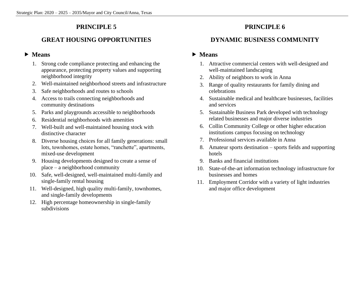#### **GREAT HOUSING OPPORTUNITIES**

#### **Means**

- 1. Strong code compliance protecting and enhancing the appearance, protecting property values and supporting neighborhood integrity
- 2. Well-maintained neighborhood streets and infrastructure
- 3. Safe neighborhoods and routes to schools
- 4. Access to trails connecting neighborhoods and community destinations
- 5. Parks and playgrounds accessible to neighborhoods
- 6. Residential neighborhoods with amenities
- 7. Well-built and well-maintained housing stock with distinctive character
- 8. Diverse housing choices for all family generations: small lots, townhomes, estate homes, "ranchette", apartments, mixed-use development
- 9. Housing developments designed to create a sense of place – a neighborhood community
- 10. Safe, well-designed, well-maintained multi-family and single-family rental housing
- 11. Well-designed, high quality multi-family, townhomes, and single-family developments
- 12. High percentage homeownership in single-family subdivisions

#### **PRINCIPLE 6**

#### **DYNAMIC BUSINESS COMMUNITY**

- 1. Attractive commercial centers with well-designed and well-maintained landscaping
- 2. Ability of neighbors to work in Anna
- 3. Range of quality restaurants for family dining and celebrations
- 4. Sustainable medical and healthcare businesses, facilities and services
- 5. Sustainable Business Park developed with technology related businesses and major diverse industries
- 6. Collin Community College or other higher education institutions campus focusing on technology
- 7. Professional services available in Anna
- 8. Amateur sports destination sports fields and supporting hotels
- 9. Banks and financial institutions
- 10. State-of-the-art information technology infrastructure for businesses and homes
- 11. Employment Corridor with a variety of light industries and major office development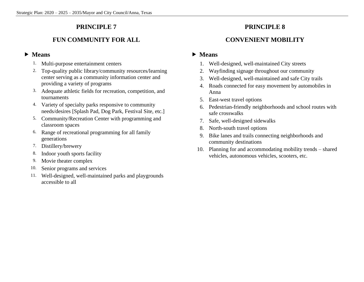#### **FUN COMMUNITY FOR ALL**

#### **Means**

- 1. Multi-purpose entertainment centers
- 2. Top-quality public library/community resources/learning center serving as a community information center and providing a variety of programs
- 3. Adequate athletic fields for recreation, competition, and tournaments
- 4. Variety of specialty parks responsive to community needs/desires [Splash Pad, Dog Park, Festival Site, etc.]
- 5. Community/Recreation Center with programming and classroom spaces
- 6. Range of recreational programming for all family generations
- 7. Distillery/brewery
- 8. Indoor youth sports facility
- 9. Movie theater complex
- 10. Senior programs and services
- 11. Well-designed, well-maintained parks and playgrounds accessible to all

#### **PRINCIPLE 8**

#### **CONVENIENT MOBILITY**

- 1. Well-designed, well-maintained City streets
- 2. Wayfinding signage throughout our community
- 3. Well-designed, well-maintained and safe City trails
- 4. Roads connected for easy movement by automobiles in Anna
- 5. East-west travel options
- 6. Pedestrian-friendly neighborhoods and school routes with safe crosswalks
- 7. Safe, well-designed sidewalks
- 8. North-south travel options
- 9. Bike lanes and trails connecting neighborhoods and community destinations
- 10. Planning for and accommodating mobility trends shared vehicles, autonomous vehicles, scooters, etc.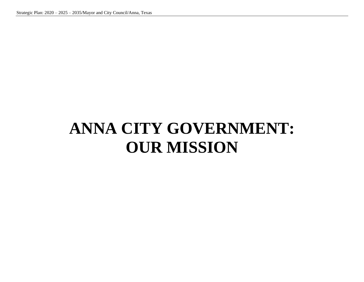# **ANNA CITY GOVERNMENT: OUR MISSION**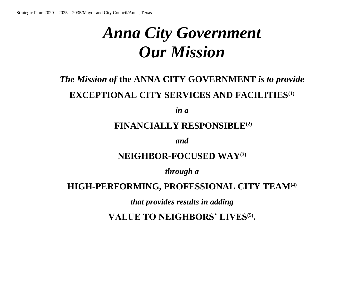# *Anna City Government Our Mission*

### *The Mission of* **the ANNA CITY GOVERNMENT** *is to provide* **EXCEPTIONAL CITY SERVICES AND FACILITIES(1)**

*in a*

### **FINANCIALLY RESPONSIBLE(2)**

*and*

### **NEIGHBOR-FOCUSED WAY(3)**

*through a*

#### **HIGH-PERFORMING, PROFESSIONAL CITY TEAM(4)**

*that provides results in adding*

**VALUE TO NEIGHBORS' LIVES(5) .**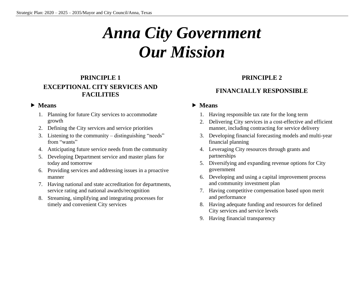# *Anna City Government Our Mission*

#### **PRINCIPLE 1 EXCEPTIONAL CITY SERVICES AND FACILITIES**

#### **Means**

- 1. Planning for future City services to accommodate growth
- 2. Defining the City services and service priorities
- 3. Listening to the community distinguishing "needs" from "wants"
- 4. Anticipating future service needs from the community
- 5. Developing Department service and master plans for today and tomorrow
- 6. Providing services and addressing issues in a proactive manner
- 7. Having national and state accreditation for departments, service rating and national awards/recognition
- 8. Streaming, simplifying and integrating processes for timely and convenient City services

#### **PRINCIPLE 2**

#### **FINANCIALLY RESPONSIBLE**

- 1. Having responsible tax rate for the long term
- 2. Delivering City services in a cost-effective and efficient manner, including contracting for service delivery
- 3. Developing financial forecasting models and multi-year financial planning
- 4. Leveraging City resources through grants and partnerships
- 5. Diversifying and expanding revenue options for City government
- 6. Developing and using a capital improvement process and community investment plan
- 7. Having competitive compensation based upon merit and performance
- 8. Having adequate funding and resources for defined City services and service levels
- 9. Having financial transparency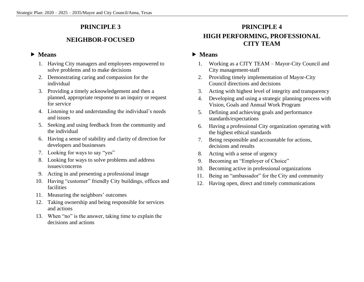#### **NEIGHBOR-FOCUSED**

#### **Means**

- 1. Having City managers and employees empowered to solve problems and to make decisions
- 2. Demonstrating caring and compassion for the individual
- 3. Providing a timely acknowledgement and then a planned, appropriate response to an inquiry or request for service
- 4. Listening to and understanding the individual's needs and issues
- 5. Seeking and using feedback from the community and the individual
- 6. Having a sense of stability and clarity of direction for developers and businesses
- 7. Looking for ways to say "yes"
- 8. Looking for ways to solve problems and address issues/concerns
- 9. Acting in and presenting a professional image
- 10. Having "customer" friendly City buildings, offices and facilities
- 11. Measuring the neighbors' outcomes
- 12. Taking ownership and being responsible for services and actions
- 13. When "no" is the answer, taking time to explain the decisions and actions

#### **PRINCIPLE 4 HIGH PERFORMING, PROFESSIONAL CITY TEAM**

- 1. Working as a CITY TEAM Mayor-City Council and City management-staff
- 2. Providing timely implementation of Mayor-City Council directions and decisions
- 3. Acting with highest level of integrity and transparency
- 4. Developing and using a strategic planning process with Vision, Goals and Annual Work Program
- 5. Defining and achieving goals and performance standards/expectations
- 6. Having a professional City organization operating with the highest ethical standards
- 7. Being responsible and accountable for actions, decisions and results
- 8. Acting with a sense of urgency
- 9. Becoming an "Employer of Choice"
- 10. Becoming active in professional organizations
- 11. Being an "ambassador" for the City and community
- 12. Having open, direct and timely communications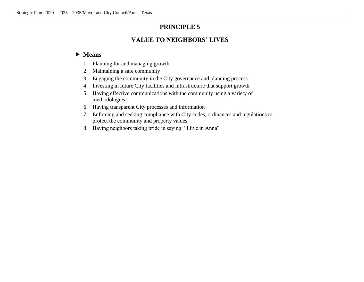#### **VALUE TO NEIGHBORS' LIVES**

- 1. Planning for and managing growth
- 2. Maintaining a safe community
- 3. Engaging the community in the City governance and planning process
- 4. Investing in future City facilities and infrastructure that support growth
- 5. Having effective communications with the community using a variety of methodologies
- 6. Having transparent City processes and information
- 7. Enforcing and seeking compliance with City codes, ordinances and regulations to protect the community and property values
- 8. Having neighbors taking pride in saying: "I live in Anna"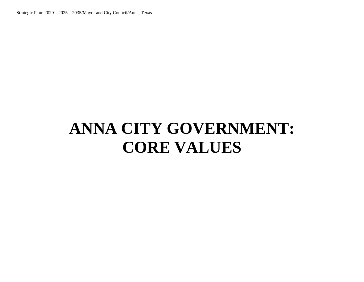# **ANNA CITY GOVERNMENT: CORE VALUES**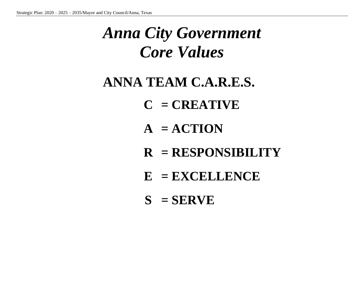# *Anna City Government Core Values*

### **ANNA TEAM C.A.R.E.S.**

- **C = CREATIVE**
- $A = ACTION$
- **R = RESPONSIBILITY**
- **E = EXCELLENCE**
- **S = SERVE**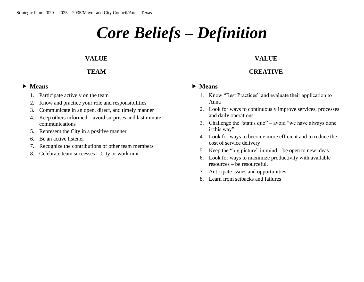# *Core Beliefs – Definition*

#### **VALUE**

#### **TEAM**

#### **Means**

- 1. Participate actively on the team
- 2. Know and practice your role and responsibilities
- 3. Communicate in an open, direct, and timely manner
- 4. Keep others informed avoid surprises and last minute communications
- 5. Represent the City in a positive manner
- 6. Be an active listener
- 7. Recognize the contributions of other team members
- 8. Celebrate team successes City or work unit

#### **VALUE**

#### **CREATIVE**

- 1. Know "Best Practices" and evaluate their application to Anna
- 2. Look for ways to continuously improve services, processes and daily operations
- 3. Challenge the "status quo" avoid "we have always done it this way"
- 4. Look for ways to become more efficient and to reduce the cost of service delivery
- 5. Keep the "big picture" in mind be open to new ideas
- 6. Look for ways to maximize productivity with available resources – be resourceful.
- 7. Anticipate issues and opportunities
- 8. Learn from setbacks and failures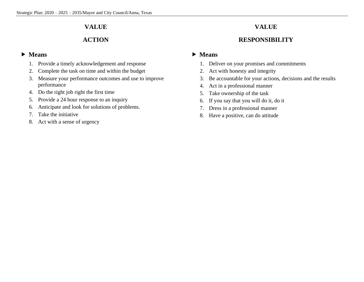#### **VALUE**

#### **ACTION**

#### **Means**

- 1. Provide a timely acknowledgement and response
- 2. Complete the task on time and within the budget
- 3. Measure your performance outcomes and use to improve performance
- 4. Do the right job right the first time
- 5. Provide a 24 hour response to an inquiry
- 6. Anticipate and look for solutions of problems.
- 7. Take the initiative
- 8. Act with a sense of urgency

#### **VALUE**

#### **RESPONSIBILITY**

- 1. Deliver on your promises and commitments
- 2. Act with honesty and integrity
- 3. Be accountable for your actions, decisions and the results
- 4. Act in a professional manner
- 5. Take ownership of the task
- 6. If you say that you will do it, do it
- 7. Dress in a professional manner
- 8. Have a positive, can do attitude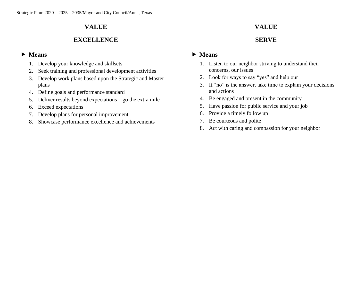#### **VALUE**

#### **EXCELLENCE**

#### **Means**

- 1. Develop your knowledge and skillsets
- 2. Seek training and professional development activities
- 3. Develop work plans based upon the Strategic and Master plans
- 4. Define goals and performance standard
- 5. Deliver results beyond expectations go the extra mile
- 6. Exceed expectations
- 7. Develop plans for personal improvement
- 8. Showcase performance excellence and achievements

#### **VALUE**

#### **SERVE**

- 1. Listen to our neighbor striving to understand their concerns, our issues
- 2. Look for ways to say "yes" and help our
- 3. If "no" is the answer, take time to explain your decisions and actions
- 4. Be engaged and present in the community
- 5. Have passion for public service and your job
- 6. Provide a timely follow up
- 7. Be courteous and polite
- 8. Act with caring and compassion for your neighbor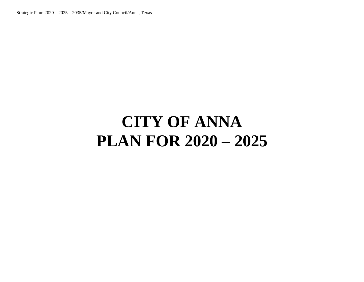# **CITY OF ANNA PLAN FOR 2020 – 2025**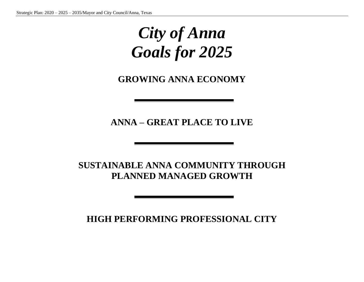### *City of Anna Goals for 2025*

**GROWING ANNA ECONOMY**

**ANNA – GREAT PLACE TO LIVE**

**SUSTAINABLE ANNA COMMUNITY THROUGH PLANNED MANAGED GROWTH**

**HIGH PERFORMING PROFESSIONAL CITY**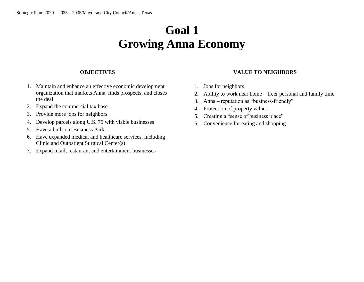### **Goal 1 Growing Anna Economy**

#### **OBJECTIVES**

- 1. Maintain and enhance an effective economic development organization that markets Anna, finds prospects, and closes the deal
- 2. Expand the commercial tax base
- 3. Provide more jobs for neighbors
- 4. Develop parcels along U.S. 75 with viable businesses
- 5. Have a built-out Business Park
- 6. Have expanded medical and healthcare services, including Clinic and Outpatient Surgical Center(s)
- 7. Expand retail, restaurant and entertainment businesses

#### **VALUE TO NEIGHBORS**

- 1. Jobs for neighbors
- 2. Ability to work near home freer personal and family time
- 3. Anna reputation as "business-friendly"
- 4. Protection of property values
- 5. Creating a "sense of business place"
- 6. Convenience for eating and shopping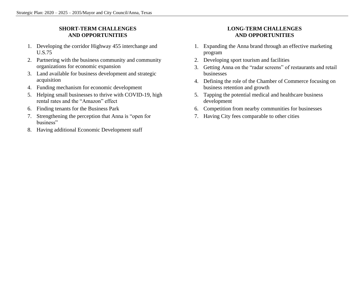#### **SHORT-TERM CHALLENGES AND OPPORTUNITIES**

- 1. Developing the corridor Highway 455 interchange and U.S.75
- 2. Partnering with the business community and community organizations for economic expansion
- 3. Land available for business development and strategic acquisition
- 4. Funding mechanism for economic development
- 5. Helping small businesses to thrive with COVID-19, high rental rates and the "Amazon" effect
- 6. Finding tenants for the Business Park
- 7. Strengthening the perception that Anna is "open for business"
- 8. Having additional Economic Development staff

#### **LONG-TERM CHALLENGES AND OPPORTUNITIES**

- 1. Expanding the Anna brand through an effective marketing program
- 2. Developing sport tourism and facilities
- 3. Getting Anna on the "radar screens" of restaurants and retail businesses
- 4. Defining the role of the Chamber of Commerce focusing on business retention and growth
- 5. Tapping the potential medical and healthcare business development
- 6. Competition from nearby communities for businesses
- 7. Having City fees comparable to other cities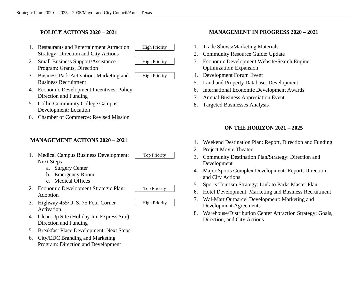#### **POLICY ACTIONS 2020 – 2021**

- 1. Restaurants and Entertainment Attraction | High Priority Strategy: Direction and City Actions
- 2. Small Business Support/Assistance High Priority Program: Grants, Direction



- 3. Business Park Activation: Marketing and | High Priority Business Recruitment
	-
- 4. Economic Development Incentives: Policy Direction and Funding
- 5. Collin Community College Campus Development: Location
- 6. Chamber of Commerce: Revised Mission

#### **MANAGEMENT ACTIONS 2020 – 2021**

- 1. Medical Campus Business Development: Top Priority Next Steps
	- a. Surgery Center
	- b. Emergency Room
	- c. Medical Offices
- 2. Economic Development Strategic Plan: Top Priority Adoption
- 3. Highway  $455/U$ . S. 75 Four Corner High Priority Activation
- 4. Clean Up Site (Holiday Inn Express Site): Direction and Funding
- 5. Breakfast Place Development: Next Steps
- 6. City/EDC Branding and Marketing Program: Direction and Development

#### **MANAGEMENT IN PROGRESS 2020 – 2021**

- 1. Trade Shows/Marketing Materials
- 2. Community Resource Guide: Update
- 3. Economic Development Website/Search Engine Optimization: Expansion
- 4. Development Forum Event
- 5. Land and Property Database: Development
- 6. International Economic Development Awards
- 7. Annual Business Appreciation Event
- 8. Targeted Businesses Analysis

#### **ON THE HORIZON 2021 – 2025**

- 1. Weekend Destination Plan: Report, Direction and Funding
- 2. Project Movie Theater
- 3. Community Destination Plan/Strategy: Direction and Development
- 4. Major Sports Complex Development: Report, Direction, and City Actions
- 5. Sports Tourism Strategy: Link to Parks Master Plan
- 6. Hotel Development: Marketing and Business Recruitment
- 7. Wal-Mart Outparcel Development: Marketing and Development Agreements
- 8. Warehouse/Distribution Center Attraction Strategy: Goals, Direction, and City Actions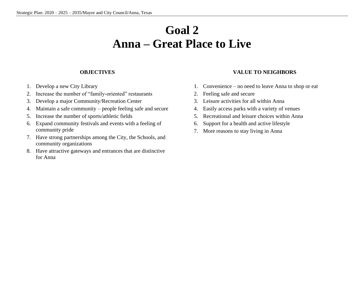### **Goal 2 Anna – Great Place to Live**

#### **OBJECTIVES**

- 1. Develop a new City Library
- 2. Increase the number of "family-oriented" restaurants
- 3. Develop a major Community/Recreation Center
- 4. Maintain a safe community people feeling safe and secure
- 5. Increase the number of sports/athletic fields
- 6. Expand community festivals and events with a feeling of community pride
- 7. Have strong partnerships among the City, the Schools, and community organizations
- 8. Have attractive gateways and entrances that are distinctive for Anna

#### **VALUE TO NEIGHBORS**

- 1. Convenience no need to leave Anna to shop or eat
- 2. Feeling safe and secure
- 3. Leisure activities for all within Anna
- 4. Easily access parks with a variety of venues
- 5. Recreational and leisure choices within Anna
- 6. Support for a health and active lifestyle
- 7. More reasons to stay living in Anna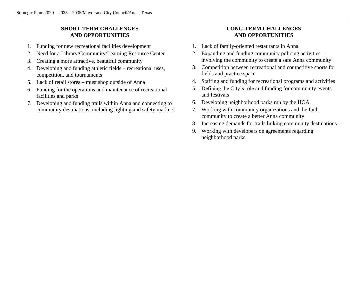#### **SHORT-TERM CHALLENGES AND OPPORTUNITIES**

- 1. Funding for new recreational facilities development
- 2. Need for a Library/Community/Learning Resource Center
- 3. Creating a more attractive, beautiful community
- 4. Developing and funding athletic fields recreational uses, competition, and tournaments
- 5. Lack of retail stores must shop outside of Anna
- 6. Funding for the operations and maintenance of recreational facilities and parks
- 7. Developing and funding trails within Anna and connecting to community destinations, including lighting and safety markers

#### **LONG-TERM CHALLENGES AND OPPORTUNITIES**

- 1. Lack of family-oriented restaurants in Anna
- 2. Expanding and funding community policing activities involving the community to create a safe Anna community
- 3. Competition between recreational and competitive sports for fields and practice space
- 4. Staffing and funding for recreational programs and activities
- 5. Defining the City's role and funding for community events and festivals
- 6. Developing neighborhood parks run by the HOA
- 7. Working with community organizations and the faith community to create a better Anna community
- 8. Increasing demands for trails linking community destinations
- 9. Working with developers on agreements regarding neighborhood parks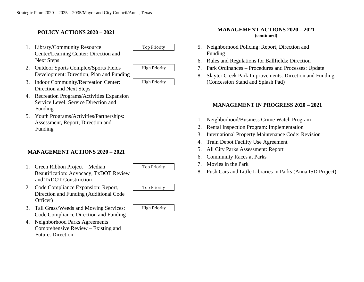#### **POLICY ACTIONS 2020 – 2021**

- 1. Library/Community Resource Top Priority Center/Learning Center: Direction and Next Steps
	-
- 2. Outdoor Sports Complex/Sports Fields High Priority Development: Direction, Plan and Funding



3. Indoor Community/Recreation Center: | High Priority Direction and Next Steps



- 4. Recreation Programs/Activities Expansion Service Level: Service Direction and Funding
- 5. Youth Programs/Activities/Partnerships: Assessment, Report, Direction and Funding

#### **MANAGEMENT ACTIONS 2020 – 2021**

- 1. Green Ribbon Project Median Top Priority Beautification: Advocacy, TxDOT Review and TxDOT Construction
- 2. Code Compliance Expansion: Report, Top Priority Direction and Funding (Additional Code Officer)
- 3. Tall Grass/Weeds and Mowing Services: | High Priority Code Compliance Direction and Funding
- 4. Neighborhood Parks Agreements Comprehensive Review – Existing and Future: Direction

#### **MANAGEMENT ACTIONS 2020 – 2021 (continued)**

- 5. Neighborhood Policing: Report, Direction and Funding
- 6. Rules and Regulations for Ballfields: Direction
- 7. Park Ordinances Procedures and Processes: Update
- 8. Slayter Creek Park Improvements: Direction and Funding (Concession Stand and Splash Pad)

#### **MANAGEMENT IN PROGRESS 2020 – 2021**

- 1. Neighborhood/Business Crime Watch Program
- 2. Rental Inspection Program: Implementation
- 3. International Property Maintenance Code: Revision
- 4. Train Depot Facility Use Agreement
- 5. All City Parks Assessment: Report
- 6. Community Races at Parks
- 7. Movies in the Park
- 8. Push Cars and Little Libraries in Parks (Anna ISD Project)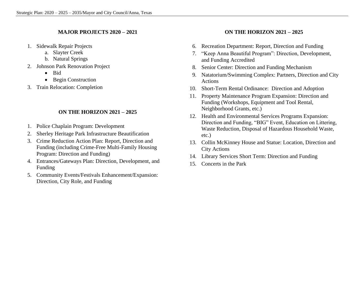#### **MAJOR PROJECTS 2020 – 2021**

- 1. Sidewalk Repair Projects
	- a. Slayter Creek
	- b. Natural Springs
- 2. Johnson Park Renovation Project
	- Bid
	- Begin Construction
- 3. Train Relocation: Completion

#### **ON THE HORIZON 2021 – 2025**

- 1. Police Chaplain Program: Development
- 2. Sherley Heritage Park Infrastructure Beautification
- 3. Crime Reduction Action Plan: Report, Direction and Funding (including Crime-Free Multi-Family Housing Program: Direction and Funding)
- 4. Entrances/Gateways Plan: Direction, Development, and Funding
- 5. Community Events/Festivals Enhancement/Expansion: Direction, City Role, and Funding

#### **ON THE HORIZON 2021 – 2025**

- 6. Recreation Department: Report, Direction and Funding
- 7. "Keep Anna Beautiful Program": Direction, Development, and Funding Accredited
- 8. Senior Center: Direction and Funding Mechanism
- 9. Natatorium/Swimming Complex: Partners, Direction and City Actions
- 10. Short-Term Rental Ordinance: Direction and Adoption
- 11. Property Maintenance Program Expansion: Direction and Funding (Workshops, Equipment and Tool Rental, Neighborhood Grants, etc.)
- 12. Health and Environmental Services Programs Expansion: Direction and Funding, "BIG" Event, Education on Littering, Waste Reduction, Disposal of Hazardous Household Waste, etc.)
- 13. Collin McKinney House and Statue: Location, Direction and City Actions
- 14. Library Services Short Term: Direction and Funding
- 15. Concerts in the Park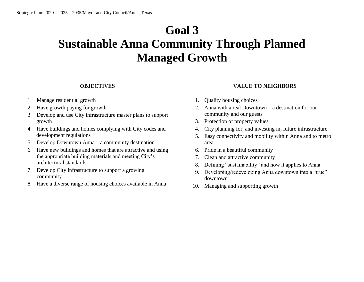### **Goal 3 Sustainable Anna Community Through Planned Managed Growth**

#### **OBJECTIVES**

- 1. Manage residential growth
- 2. Have growth paying for growth
- 3. Develop and use City infrastructure master plans to support growth
- 4. Have buildings and homes complying with City codes and development regulations
- 5. Develop Downtown Anna a community destination
- 6. Have new buildings and homes that are attractive and using the appropriate building materials and meeting City's architectural standards
- 7. Develop City infrastructure to support a growing community
- 8. Have a diverse range of housing choices available in Anna
- **VALUE TO NEIGHBORS**
- 1. Quality housing choices
- 2. Anna with a real Downtown a destination for our community and our guests
- 3. Protection of property values
- 4. City planning for, and investing in, future infrastructure
- 5. Easy connectivity and mobility within Anna and to metro area
- 6. Pride in a beautiful community
- 7. Clean and attractive community
- 8. Defining "sustainability" and how it applies to Anna
- 9. Developing/redeveloping Anna downtown into a "true" downtown
- 10. Managing and supporting growth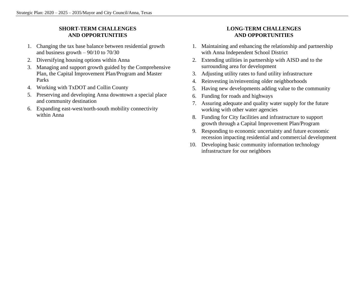#### **SHORT-TERM CHALLENGES AND OPPORTUNITIES**

- 1. Changing the tax base balance between residential growth and business growth  $-90/10$  to  $70/30$
- 2. Diversifying housing options within Anna
- 3. Managing and support growth guided by the Comprehensive Plan, the Capital Improvement Plan/Program and Master Parks
- 4. Working with TxDOT and Collin County
- 5. Preserving and developing Anna downtown a special place and community destination
- 6. Expanding east-west/north-south mobility connectivity within Anna

#### **LONG-TERM CHALLENGES AND OPPORTUNITIES**

- 1. Maintaining and enhancing the relationship and partnership with Anna Independent School District
- 2. Extending utilities in partnership with AISD and to the surrounding area for development
- 3. Adjusting utility rates to fund utility infrastructure
- 4. Reinvesting in/reinventing older neighborhoods
- 5. Having new developments adding value to the community
- 6. Funding for roads and highways
- 7. Assuring adequate and quality water supply for the future working with other water agencies
- 8. Funding for City facilities and infrastructure to support growth through a Capital Improvement Plan/Program
- 9. Responding to economic uncertainty and future economic recession impacting residential and commercial development
- 10. Developing basic community information technology infrastructure for our neighbors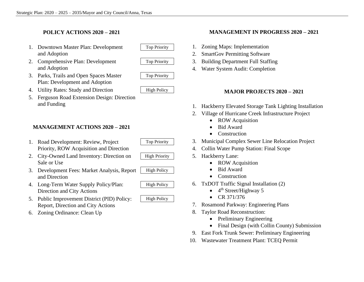#### **POLICY ACTIONS 2020 – 2021**

- 1. Downtown Master Plan: Development Top Priority and Adoption
- 2. Comprehensive Plan: Development Top Priority and Adoption
- 3. Parks, Trails and Open Spaces Master Top Priority Plan: Development and Adoption
- 4. Utility Rates: Study and Direction High Policy
- 5. Ferguson Road Extension Design: Direction and Funding

#### **MANAGEMENT ACTIONS 2020 – 2021**

- 1. Road Development: Review, Project Top Priority Priority, ROW Acquisition and Direction
- 2. City-Owned Land Inventory: Direction on High Priority Sale or Use
- 3. Development Fees: Market Analysis, Report | High Policy and Direction
- 4. Long-Term Water Supply Policy/Plan: High Policy Direction and City Actions
- 5. Public Improvement District (PID) Policy: | High Policy Report, Direction and City Actions
- 6. Zoning Ordinance: Clean Up

#### **MANAGEMENT IN PROGRESS 2020 – 2021**

- 1. Zoning Maps: Implementation
- 2. SmartGov Permitting Software
- 3. Building Department Full Staffing
- 4. Water System Audit: Completion

#### **MAJOR PROJECTS 2020 – 2021**

- 1. Hackberry Elevated Storage Tank Lighting Installation
- 2. Village of Hurricane Creek Infrastructure Project
	- ROW Acquisition
	- Bid Award
	- Construction
- 3. Municipal Complex Sewer Line Relocation Project
- 4. Collin Water Pump Station: Final Scope
- 5. Hackberry Lane:
	- ROW Acquisition
	- Bid Award
	- Construction
- 6. TxDOT Traffic Signal Installation (2)
	- $\bullet$  4<sup>th</sup> Street/Highway 5
	- CR 371/376
- 7. Rosamond Parkway: Engineering Plans
- 8. Taylor Road Reconstruction:
	- Preliminary Engineering
	- Final Design (with Collin County) Submission
- 9. East Fork Trunk Sewer: Preliminary Engineering
- 10. Wastewater Treatment Plant: TCEQ Permit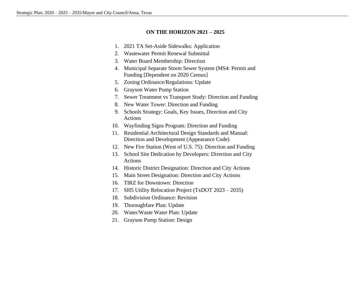#### **ON THE HORIZON 2021 – 2025**

- 1. 2021 TA Set-Aside Sidewalks: Application
- 2. Wastewater Permit Renewal Submittal
- 3. Water Board Membership: Direction
- 4. Municipal Separate Storm Sewer System (MS4: Permit and Funding [Dependent on 2020 Census]
- 5. Zoning Ordinance/Regulations: Update
- 6. Grayson Water Pump Station
- 7. Sewer Treatment vs Transport Study: Direction and Funding
- 8. New Water Tower: Direction and Funding
- 9. Schools Strategy: Goals, Key Issues, Direction and City Actions
- 10. Wayfinding Signs Program: Direction and Funding
- 11. Residential Architectural Design Standards and Manual: Direction and Development (Appearance Code)
- 12. New Fire Station (West of U.S. 75): Direction and Funding
- 13. School Site Dedication by Developers: Direction and City Actions
- 14. Historic District Designation: Direction and City Actions
- 15. Main Street Designation: Direction and City Actions
- 16. TIRZ for Downtown: Direction
- 17. SH5 Utility Relocation Project (TxDOT 2023 2035)
- 18. Subdivision Ordinance: Revision
- 19. Thoroughfare Plan: Update
- 20. Water/Waste Water Plan: Update
- 21. Grayson Pump Station: Design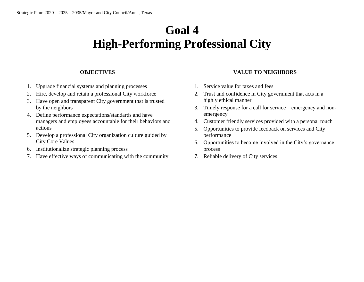### **Goal 4 High-Performing Professional City**

#### **OBJECTIVES**

- 1. Upgrade financial systems and planning processes
- 2. Hire, develop and retain a professional City workforce
- 3. Have open and transparent City government that is trusted by the neighbors
- 4. Define performance expectations/standards and have managers and employees accountable for their behaviors and actions
- 5. Develop a professional City organization culture guided by City Core Values
- 6. Institutionalize strategic planning process
- 7. Have effective ways of communicating with the community

#### **VALUE TO NEIGHBORS**

- 1. Service value for taxes and fees
- 2. Trust and confidence in City government that acts in a highly ethical manner
- 3. Timely response for a call for service emergency and nonemergency
- 4. Customer friendly services provided with a personal touch
- 5. Opportunities to provide feedback on services and City performance
- 6. Opportunities to become involved in the City's governance process
- 7. Reliable delivery of City services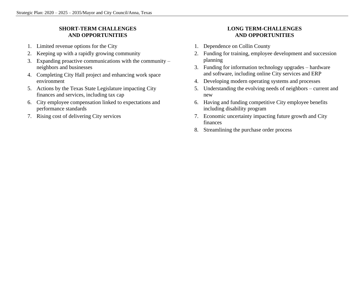#### **SHORT-TERM CHALLENGES AND OPPORTUNITIES**

- 1. Limited revenue options for the City
- 2. Keeping up with a rapidly growing community
- 3. Expanding proactive communications with the community neighbors and businesses
- 4. Completing City Hall project and enhancing work space environment
- 5. Actions by the Texas State Legislature impacting City finances and services, including tax cap
- 6. City employee compensation linked to expectations and performance standards
- 7. Rising cost of delivering City services

#### **LONG TERM-CHALLENGES AND OPPORTUNITIES**

- 1. Dependence on Collin County
- 2. Funding for training, employee development and succession planning
- 3. Funding for information technology upgrades hardware and software, including online City services and ERP
- 4. Developing modern operating systems and processes
- 5. Understanding the evolving needs of neighbors current and new
- 6. Having and funding competitive City employee benefits including disability program
- 7. Economic uncertainty impacting future growth and City finances
- 8. Streamlining the purchase order process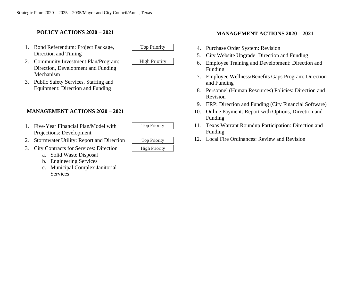#### **POLICY ACTIONS 2020 – 2021**

- 1. Bond Referendum: Project Package, Top Priority Direction and Timing
- 2. Community Investment Plan/Program: | High Priority Direction, Development and Funding Mechanism
- 3. Public Safety Services, Staffing and Equipment: Direction and Funding

#### **MANAGEMENT ACTIONS 2020 – 2021**

- 1. Five-Year Financial Plan/Model with Top Priority Projections: Development
- 2. Stormwater Utility: Report and Direction
- 3. City Contracts for Services: Direction
	- a. Solid Waste Disposal
	- b. Engineering Services
	- c. Municipal Complex Janitorial Services

| <b>Top Priority</b>  |
|----------------------|
| <b>High Priority</b> |

#### **MANAGEMENT ACTIONS 2020 – 2021**

- 4. Purchase Order System: Revision
- 5. City Website Upgrade: Direction and Funding
- 6. Employee Training and Development: Direction and Funding
- 7. Employee Wellness/Benefits Gaps Program: Direction and Funding
- 8. Personnel (Human Resources) Policies: Direction and Revision
- 9. ERP: Direction and Funding (City Financial Software)
- 10. Online Payment: Report with Options, Direction and Funding
- 11. Texas Warrant Roundup Participation: Direction and Funding
- 12. Local Fire Ordinances: Review and Revision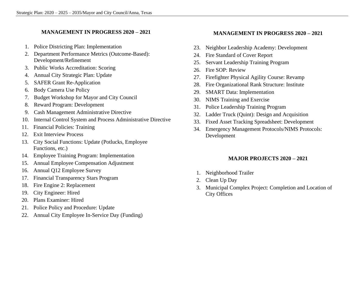#### **MANAGEMENT IN PROGRESS 2020 – 2021**

- 1. Police Districting Plan: Implementation
- 2. Department Performance Metrics (Outcome-Based): Development/Refinement
- 3. Public Works Accreditation: Scoring
- 4. Annual City Strategic Plan: Update
- 5. SAFER Grant Re-Application
- 6. Body Camera Use Policy
- 7. Budget Workshop for Mayor and City Council
- 8. Reward Program: Development
- 9. Cash Management Administrative Directive
- 10. Internal Control System and Process Administrative Directive
- 11. Financial Policies: Training
- 12. Exit Interview Process
- 13. City Social Functions: Update (Potlucks, Employee Functions, etc.)
- 14. Employee Training Program: Implementation
- 15. Annual Employee Compensation Adjustment
- 16. Annual Q12 Employee Survey
- 17. Financial Transparency Stars Program
- 18. Fire Engine 2: Replacement
- 19. City Engineer: Hired
- 20. Plans Examiner: Hired
- 21. Police Policy and Procedure: Update
- 22. Annual City Employee In-Service Day (Funding)

#### **MANAGEMENT IN PROGRESS 2020 – 2021**

- 23. Neighbor Leadership Academy: Development
- 24. Fire Standard of Cover Report
- 25. Servant Leadership Training Program
- 26. Fire SOP: Review
- 27. Firefighter Physical Agility Course: Revamp
- 28. Fire Organizational Rank Structure: Institute
- 29. SMART Data: Implementation
- 30. NIMS Training and Exercise
- 31. Police Leadership Training Program
- 32. Ladder Truck (Quint): Design and Acquisition
- 33. Fixed Asset Tracking Spreadsheet: Development
- 34. Emergency Management Protocols/NIMS Protocols: Development

#### **MAJOR PROJECTS 2020 – 2021**

- 1. Neighborhood Trailer
- 2. Clean Up Day
- 3. Municipal Complex Project: Completion and Location of City Offices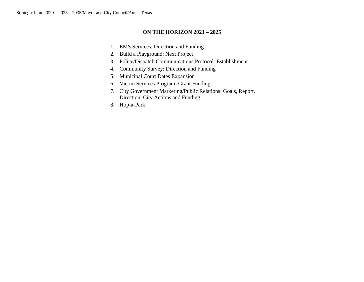#### **ON THE HORIZON 2021 – 2025**

- 1. EMS Services: Direction and Funding
- 2. Build a Playground: Next Project
- 3. Police/Dispatch Communications Protocol: Establishment
- 4. Community Survey: Direction and Funding
- 5. Municipal Court Dates Expansion
- 6. Victim Services Program: Grant Funding
- 7. City Government Marketing/Public Relations: Goals, Report, Direction, City Actions and Funding
- 8. Hop-a-Park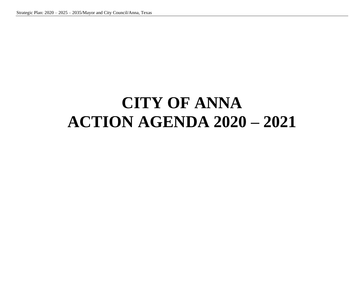### **CITY OF ANNA ACTION AGENDA 2020 – 2021**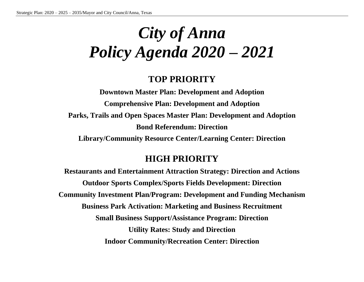# *City of Anna Policy Agenda 2020 – 2021*

#### **TOP PRIORITY**

**Downtown Master Plan: Development and Adoption Comprehensive Plan: Development and Adoption Parks, Trails and Open Spaces Master Plan: Development and Adoption Bond Referendum: Direction Library/Community Resource Center/Learning Center: Direction**

#### **HIGH PRIORITY**

**Restaurants and Entertainment Attraction Strategy: Direction and Actions Outdoor Sports Complex/Sports Fields Development: Direction Community Investment Plan/Program: Development and Funding Mechanism Business Park Activation: Marketing and Business Recruitment Small Business Support/Assistance Program: Direction Utility Rates: Study and Direction Indoor Community/Recreation Center: Direction**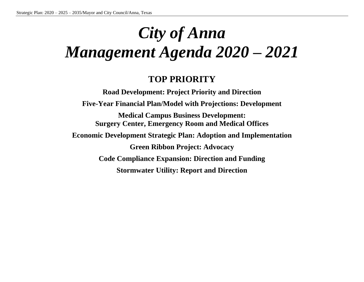# *City of Anna Management Agenda 2020 – 2021*

#### **TOP PRIORITY**

**Road Development: Project Priority and Direction Five-Year Financial Plan/Model with Projections: Development Medical Campus Business Development: Surgery Center, Emergency Room and Medical Offices Economic Development Strategic Plan: Adoption and Implementation Green Ribbon Project: Advocacy Code Compliance Expansion: Direction and Funding Stormwater Utility: Report and Direction**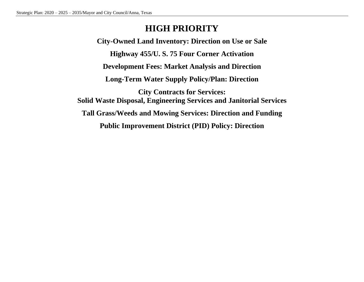### **HIGH PRIORITY**

**City-Owned Land Inventory: Direction on Use or Sale Highway 455/U. S. 75 Four Corner Activation Development Fees: Market Analysis and Direction Long-Term Water Supply Policy/Plan: Direction City Contracts for Services: Solid Waste Disposal, Engineering Services and Janitorial Services Tall Grass/Weeds and Mowing Services: Direction and Funding Public Improvement District (PID) Policy: Direction**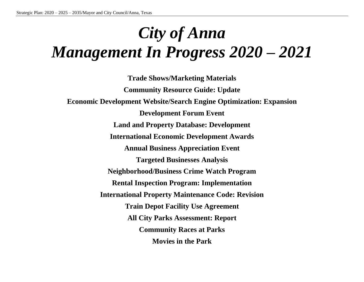# *City of Anna Management In Progress 2020 – 2021*

**Trade Shows/Marketing Materials Community Resource Guide: Update Economic Development Website/Search Engine Optimization: Expansion Development Forum Event Land and Property Database: Development International Economic Development Awards Annual Business Appreciation Event Targeted Businesses Analysis Neighborhood/Business Crime Watch Program Rental Inspection Program: Implementation International Property Maintenance Code: Revision Train Depot Facility Use Agreement All City Parks Assessment: Report Community Races at Parks Movies in the Park**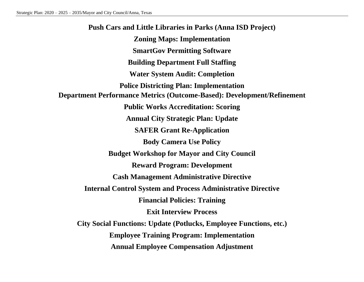**Push Cars and Little Libraries in Parks (Anna ISD Project) Zoning Maps: Implementation SmartGov Permitting Software Building Department Full Staffing Water System Audit: Completion Police Districting Plan: Implementation Department Performance Metrics (Outcome-Based): Development/Refinement Public Works Accreditation: Scoring Annual City Strategic Plan: Update SAFER Grant Re-Application Body Camera Use Policy Budget Workshop for Mayor and City Council Reward Program: Development Cash Management Administrative Directive Internal Control System and Process Administrative Directive Financial Policies: Training Exit Interview Process City Social Functions: Update (Potlucks, Employee Functions, etc.) Employee Training Program: Implementation Annual Employee Compensation Adjustment**